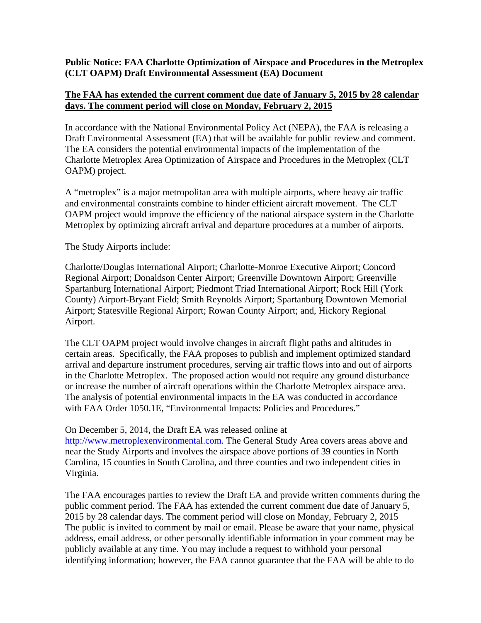## **Public Notice: FAA Charlotte Optimization of Airspace and Procedures in the Metroplex (CLT OAPM) Draft Environmental Assessment (EA) Document**

## **The FAA has extended the current comment due date of January 5, 2015 by 28 calendar days. The comment period will close on Monday, February 2, 2015**

In accordance with the National Environmental Policy Act (NEPA), the FAA is releasing a Draft Environmental Assessment (EA) that will be available for public review and comment. The EA considers the potential environmental impacts of the implementation of the Charlotte Metroplex Area Optimization of Airspace and Procedures in the Metroplex (CLT OAPM) project.

A "metroplex" is a major metropolitan area with multiple airports, where heavy air traffic and environmental constraints combine to hinder efficient aircraft movement. The CLT OAPM project would improve the efficiency of the national airspace system in the Charlotte Metroplex by optimizing aircraft arrival and departure procedures at a number of airports.

The Study Airports include:

Charlotte/Douglas International Airport; Charlotte-Monroe Executive Airport; Concord Regional Airport; Donaldson Center Airport; Greenville Downtown Airport; Greenville Spartanburg International Airport; Piedmont Triad International Airport; Rock Hill (York County) Airport-Bryant Field; Smith Reynolds Airport; Spartanburg Downtown Memorial Airport; Statesville Regional Airport; Rowan County Airport; and, Hickory Regional Airport.

The CLT OAPM project would involve changes in aircraft flight paths and altitudes in certain areas. Specifically, the FAA proposes to publish and implement optimized standard arrival and departure instrument procedures, serving air traffic flows into and out of airports in the Charlotte Metroplex. The proposed action would not require any ground disturbance or increase the number of aircraft operations within the Charlotte Metroplex airspace area. The analysis of potential environmental impacts in the EA was conducted in accordance with FAA Order 1050.1E, "Environmental Impacts: Policies and Procedures."

## On December 5, 2014, the Draft EA was released online at

http://www.metroplexenvironmental.com. The General Study Area covers areas above and near the Study Airports and involves the airspace above portions of 39 counties in North Carolina, 15 counties in South Carolina, and three counties and two independent cities in Virginia.

The FAA encourages parties to review the Draft EA and provide written comments during the public comment period. The FAA has extended the current comment due date of January 5, 2015 by 28 calendar days. The comment period will close on Monday, February 2, 2015 The public is invited to comment by mail or email. Please be aware that your name, physical address, email address, or other personally identifiable information in your comment may be publicly available at any time. You may include a request to withhold your personal identifying information; however, the FAA cannot guarantee that the FAA will be able to do